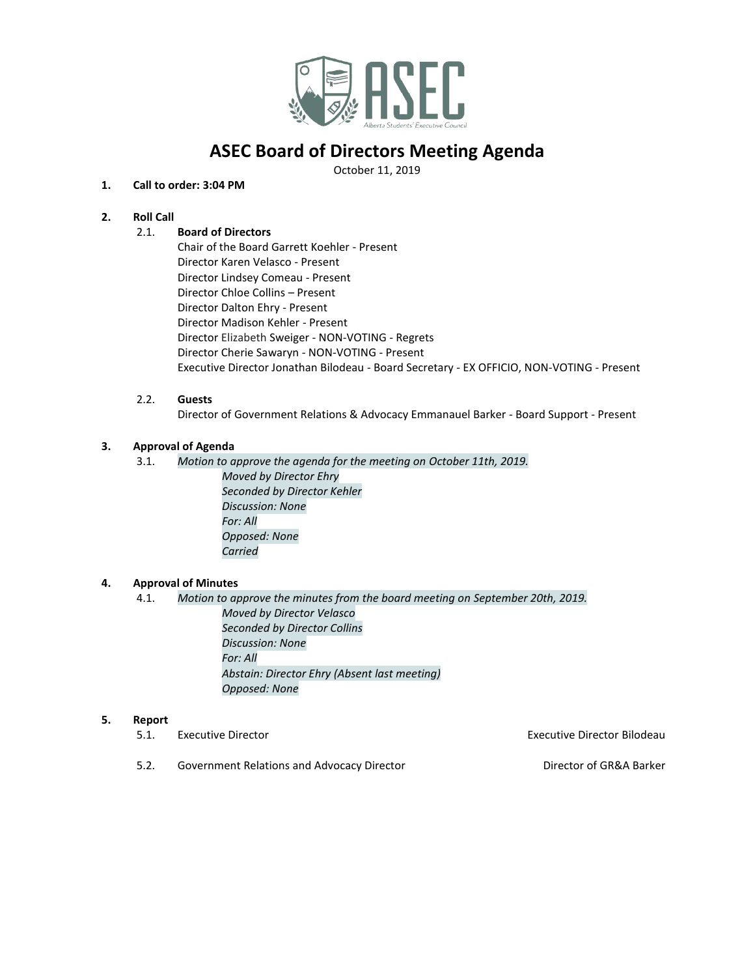

# **ASEC Board of Directors Meeting Agenda**

October 11, 2019

### **1. Call to order: 3:04 PM**

## **2. Roll Call**

### 2.1. **Board of Directors**

Chair of the Board Garrett Koehler - Present Director Karen Velasco - Present Director Lindsey Comeau - Present Director Chloe Collins – Present Director Dalton Ehry - Present Director Madison Kehler - Present Director Elizabeth Sweiger - NON-VOTING - Regrets Director Cherie Sawaryn - NON-VOTING - Present Executive Director Jonathan Bilodeau - Board Secretary - EX OFFICIO, NON-VOTING - Present

#### 2.2. **Guests**

Director of Government Relations & Advocacy Emmanauel Barker - Board Support - Present

### **3. Approval of Agenda**

- 3.1. *Motion to approve the agenda for the meeting on October 11th, 2019. Moved by Director Ehry*
	- *Seconded by Director Kehler Discussion: None For: All Opposed: None Carried*

## **4. Approval of Minutes**

4.1. *Motion to approve the minutes from the board meeting on September 20th, 2019. Moved by Director Velasco Seconded by Director Collins Discussion: None For: All Abstain: Director Ehry (Absent last meeting) Opposed: None*

#### **5. Report**

| Executive Director | <b>Executive Director Bilodeau</b> |
|--------------------|------------------------------------|
|                    |                                    |

5.2. Government Relations and Advocacy Director Director of GR&A Barker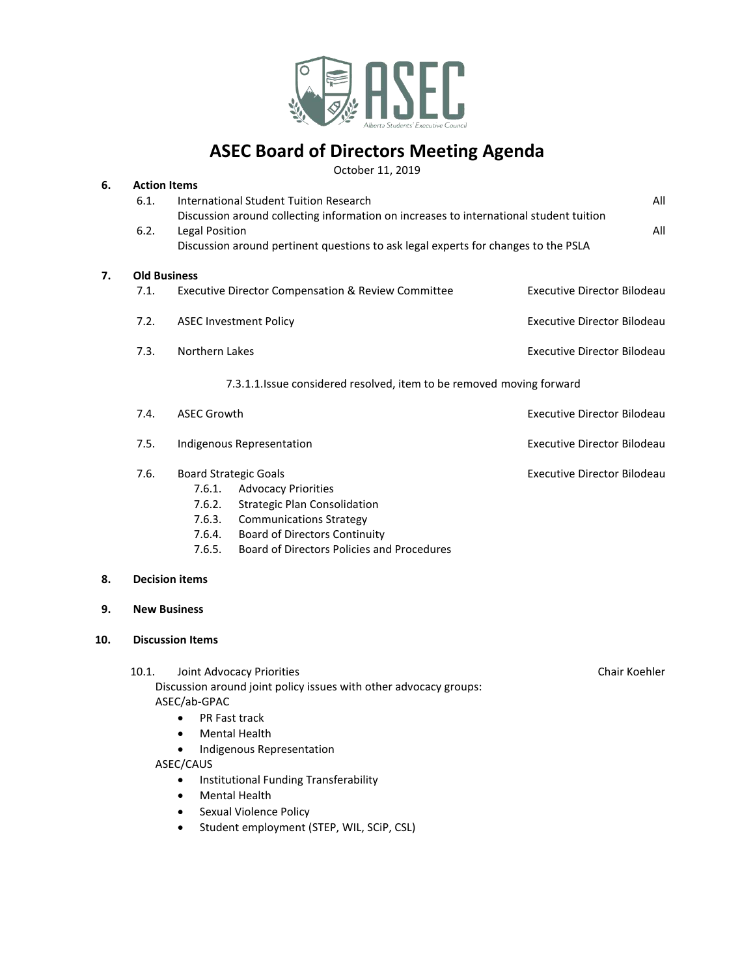

# **ASEC Board of Directors Meeting Agenda**

October 11, 2019

| 6. | <b>Action Items</b>                                                                    |                                                                                    |                                    |  |
|----|----------------------------------------------------------------------------------------|------------------------------------------------------------------------------------|------------------------------------|--|
|    | 6.1.                                                                                   | International Student Tuition Research                                             | All                                |  |
|    | Discussion around collecting information on increases to international student tuition |                                                                                    |                                    |  |
|    | 6.2.                                                                                   | Legal Position<br>All                                                              |                                    |  |
|    |                                                                                        | Discussion around pertinent questions to ask legal experts for changes to the PSLA |                                    |  |
| 7. | <b>Old Business</b>                                                                    |                                                                                    |                                    |  |
|    | 7.1.                                                                                   | Executive Director Compensation & Review Committee                                 | Executive Director Bilodeau        |  |
|    | 7.2.                                                                                   | <b>ASEC Investment Policy</b>                                                      | Executive Director Bilodeau        |  |
|    | 7.3.                                                                                   | Northern Lakes                                                                     | Executive Director Bilodeau        |  |
|    |                                                                                        | 7.3.1.1. Issue considered resolved, item to be removed moving forward              |                                    |  |
|    | 7.4.                                                                                   | <b>ASEC Growth</b>                                                                 | <b>Executive Director Bilodeau</b> |  |
|    | 7.5.                                                                                   | Indigenous Representation                                                          | Executive Director Bilodeau        |  |
|    | 7.6.                                                                                   | <b>Board Strategic Goals</b>                                                       | Executive Director Bilodeau        |  |
|    |                                                                                        | <b>Advocacy Priorities</b><br>7.6.1.                                               |                                    |  |
|    |                                                                                        | Strategic Plan Consolidation<br>7.6.2.                                             |                                    |  |

- 7.6.3. Communications Strategy
- 7.6.4. Board of Directors Continuity
- 7.6.5. Board of Directors Policies and Procedures

# **8. Decision items**

**9. New Business**

# **10. Discussion Items**

10.1. Joint Advocacy Priorities **Chair Koehler** Chair Koehler Discussion around joint policy issues with other advocacy groups: ASEC/ab-GPAC

- PR Fast track
- Mental Health
- Indigenous Representation

ASEC/CAUS

- Institutional Funding Transferability
- Mental Health
- Sexual Violence Policy
- Student employment (STEP, WIL, SCiP, CSL)